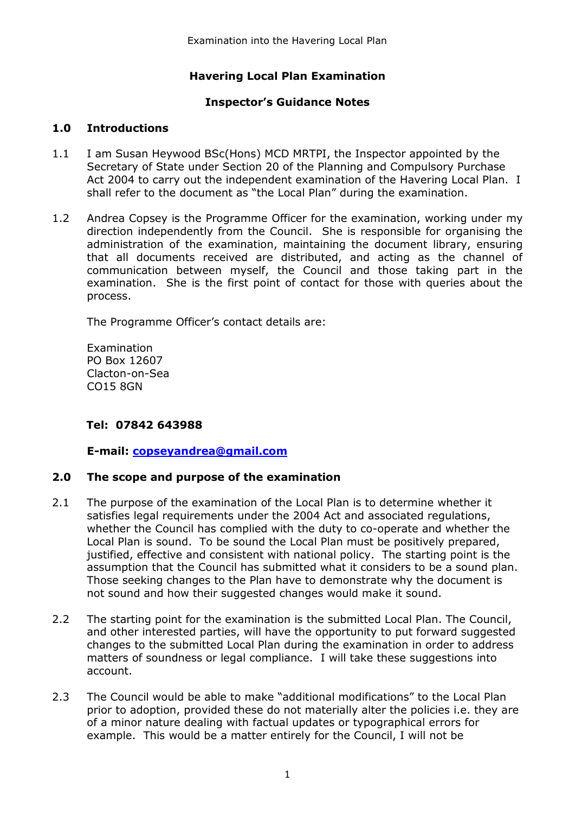# **Havering Local Plan Examination**

## **Inspector's Guidance Notes**

### **1.0 Introductions**

- 1.1 I am Susan Heywood BSc(Hons) MCD MRTPI, the Inspector appointed by the Secretary of State under Section 20 of the Planning and Compulsory Purchase Act 2004 to carry out the independent examination of the Havering Local Plan. I shall refer to the document as "the Local Plan" during the examination.
- 1.2 Andrea Copsey is the Programme Officer for the examination, working under my direction independently from the Council. She is responsible for organising the administration of the examination, maintaining the document library, ensuring that all documents received are distributed, and acting as the channel of communication between myself, the Council and those taking part in the examination. She is the first point of contact for those with queries about the process.

The Programme Officer's contact details are:

Examination PO Box 12607 Clacton-on-Sea CO15 8GN

### **Tel: 07842 643988**

**E-mail: [copseyandrea@gmail.com](mailto:copseyandrea@gmail.com)**

#### **2.0 The scope and purpose of the examination**

- 2.1 The purpose of the examination of the Local Plan is to determine whether it satisfies legal requirements under the 2004 Act and associated regulations, whether the Council has complied with the duty to co-operate and whether the Local Plan is sound. To be sound the Local Plan must be positively prepared, justified, effective and consistent with national policy. The starting point is the assumption that the Council has submitted what it considers to be a sound plan. Those seeking changes to the Plan have to demonstrate why the document is not sound and how their suggested changes would make it sound.
- 2.2 The starting point for the examination is the submitted Local Plan. The Council, and other interested parties, will have the opportunity to put forward suggested changes to the submitted Local Plan during the examination in order to address matters of soundness or legal compliance. I will take these suggestions into account.
- 2.3 The Council would be able to make "additional modifications" to the Local Plan prior to adoption, provided these do not materially alter the policies i.e. they are of a minor nature dealing with factual updates or typographical errors for example. This would be a matter entirely for the Council, I will not be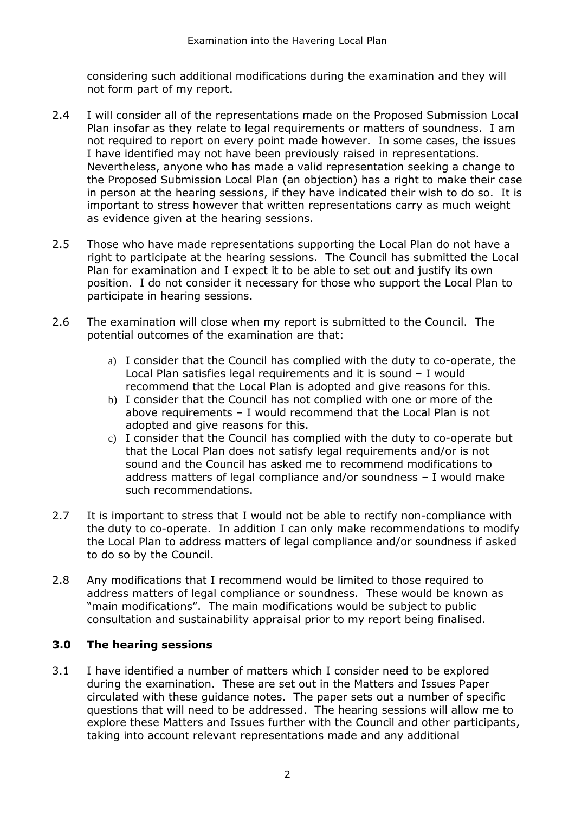considering such additional modifications during the examination and they will not form part of my report.

- 2.4 I will consider all of the representations made on the Proposed Submission Local Plan insofar as they relate to legal requirements or matters of soundness. I am not required to report on every point made however. In some cases, the issues I have identified may not have been previously raised in representations. Nevertheless, anyone who has made a valid representation seeking a change to the Proposed Submission Local Plan (an objection) has a right to make their case in person at the hearing sessions, if they have indicated their wish to do so. It is important to stress however that written representations carry as much weight as evidence given at the hearing sessions.
- 2.5 Those who have made representations supporting the Local Plan do not have a right to participate at the hearing sessions. The Council has submitted the Local Plan for examination and I expect it to be able to set out and justify its own position. I do not consider it necessary for those who support the Local Plan to participate in hearing sessions.
- 2.6 The examination will close when my report is submitted to the Council. The potential outcomes of the examination are that:
	- a) I consider that the Council has complied with the duty to co-operate, the Local Plan satisfies legal requirements and it is sound – I would recommend that the Local Plan is adopted and give reasons for this.
	- b) I consider that the Council has not complied with one or more of the above requirements – I would recommend that the Local Plan is not adopted and give reasons for this.
	- c) I consider that the Council has complied with the duty to co-operate but that the Local Plan does not satisfy legal requirements and/or is not sound and the Council has asked me to recommend modifications to address matters of legal compliance and/or soundness – I would make such recommendations.
- 2.7 It is important to stress that I would not be able to rectify non-compliance with the duty to co-operate. In addition I can only make recommendations to modify the Local Plan to address matters of legal compliance and/or soundness if asked to do so by the Council.
- 2.8 Any modifications that I recommend would be limited to those required to address matters of legal compliance or soundness. These would be known as "main modifications". The main modifications would be subject to public consultation and sustainability appraisal prior to my report being finalised.

# **3.0 The hearing sessions**

3.1 I have identified a number of matters which I consider need to be explored during the examination. These are set out in the Matters and Issues Paper circulated with these guidance notes. The paper sets out a number of specific questions that will need to be addressed. The hearing sessions will allow me to explore these Matters and Issues further with the Council and other participants, taking into account relevant representations made and any additional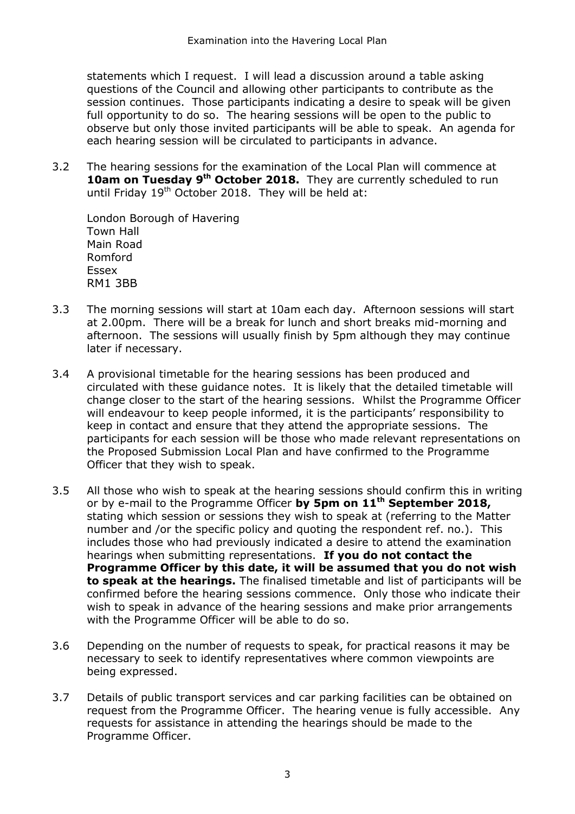statements which I request. I will lead a discussion around a table asking questions of the Council and allowing other participants to contribute as the session continues. Those participants indicating a desire to speak will be given full opportunity to do so. The hearing sessions will be open to the public to observe but only those invited participants will be able to speak. An agenda for each hearing session will be circulated to participants in advance.

3.2 The hearing sessions for the examination of the Local Plan will commence at **10am on Tuesday 9<sup>th</sup> October 2018.** They are currently scheduled to run until Friday 19<sup>th</sup> October 2018. They will be held at:

London Borough of Havering Town Hall Main Road Romford Essex RM1 3BB

- 3.3 The morning sessions will start at 10am each day. Afternoon sessions will start at 2.00pm. There will be a break for lunch and short breaks mid-morning and afternoon. The sessions will usually finish by 5pm although they may continue later if necessary.
- 3.4 A provisional timetable for the hearing sessions has been produced and circulated with these guidance notes. It is likely that the detailed timetable will change closer to the start of the hearing sessions. Whilst the Programme Officer will endeavour to keep people informed, it is the participants' responsibility to keep in contact and ensure that they attend the appropriate sessions. The participants for each session will be those who made relevant representations on the Proposed Submission Local Plan and have confirmed to the Programme Officer that they wish to speak.
- 3.5 All those who wish to speak at the hearing sessions should confirm this in writing or by e-mail to the Programme Officer **by 5pm on 11th September 2018,** stating which session or sessions they wish to speak at (referring to the Matter number and /or the specific policy and quoting the respondent ref. no.). This includes those who had previously indicated a desire to attend the examination hearings when submitting representations. **If you do not contact the Programme Officer by this date, it will be assumed that you do not wish to speak at the hearings.** The finalised timetable and list of participants will be confirmed before the hearing sessions commence. Only those who indicate their wish to speak in advance of the hearing sessions and make prior arrangements with the Programme Officer will be able to do so.
- 3.6 Depending on the number of requests to speak, for practical reasons it may be necessary to seek to identify representatives where common viewpoints are being expressed.
- 3.7 Details of public transport services and car parking facilities can be obtained on request from the Programme Officer. The hearing venue is fully accessible. Any requests for assistance in attending the hearings should be made to the Programme Officer.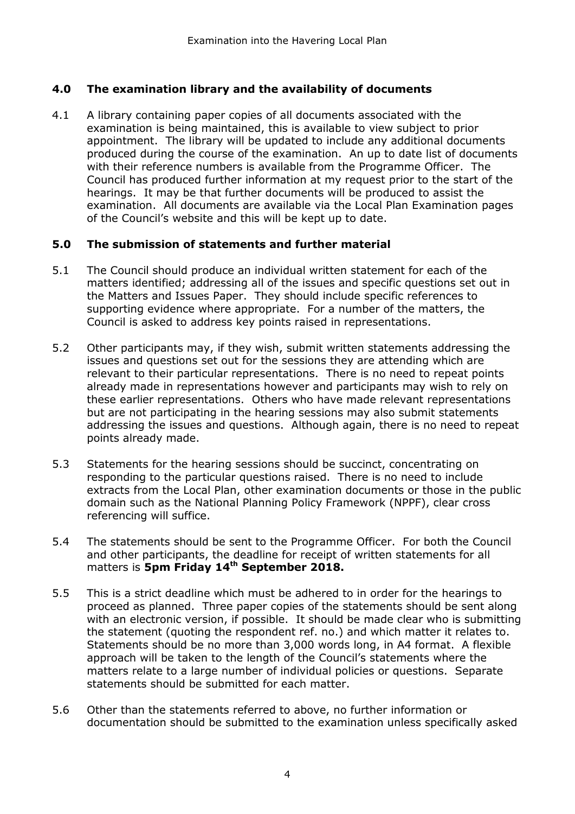## **4.0 The examination library and the availability of documents**

4.1 A library containing paper copies of all documents associated with the examination is being maintained, this is available to view subject to prior appointment. The library will be updated to include any additional documents produced during the course of the examination. An up to date list of documents with their reference numbers is available from the Programme Officer. The Council has produced further information at my request prior to the start of the hearings. It may be that further documents will be produced to assist the examination. All documents are available via the Local Plan Examination pages of the Council's website and this will be kept up to date.

### **5.0 The submission of statements and further material**

- 5.1 The Council should produce an individual written statement for each of the matters identified; addressing all of the issues and specific questions set out in the Matters and Issues Paper. They should include specific references to supporting evidence where appropriate. For a number of the matters, the Council is asked to address key points raised in representations.
- 5.2 Other participants may, if they wish, submit written statements addressing the issues and questions set out for the sessions they are attending which are relevant to their particular representations. There is no need to repeat points already made in representations however and participants may wish to rely on these earlier representations. Others who have made relevant representations but are not participating in the hearing sessions may also submit statements addressing the issues and questions. Although again, there is no need to repeat points already made.
- 5.3 Statements for the hearing sessions should be succinct, concentrating on responding to the particular questions raised. There is no need to include extracts from the Local Plan, other examination documents or those in the public domain such as the National Planning Policy Framework (NPPF), clear cross referencing will suffice.
- 5.4 The statements should be sent to the Programme Officer. For both the Council and other participants, the deadline for receipt of written statements for all matters is **5pm Friday 14th September 2018.**
- 5.5 This is a strict deadline which must be adhered to in order for the hearings to proceed as planned. Three paper copies of the statements should be sent along with an electronic version, if possible. It should be made clear who is submitting the statement (quoting the respondent ref. no.) and which matter it relates to. Statements should be no more than 3,000 words long, in A4 format. A flexible approach will be taken to the length of the Council's statements where the matters relate to a large number of individual policies or questions. Separate statements should be submitted for each matter.
- 5.6 Other than the statements referred to above, no further information or documentation should be submitted to the examination unless specifically asked